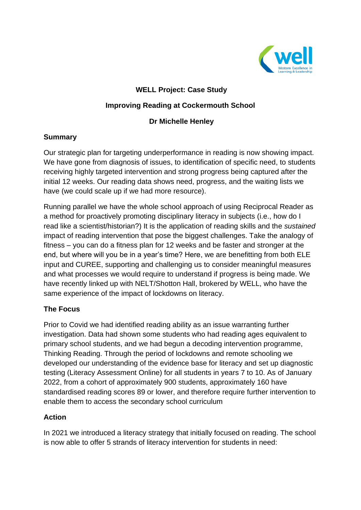

# **WELL Project: Case Study**

## **Improving Reading at Cockermouth School**

## **Dr Michelle Henley**

#### **Summary**

Our strategic plan for targeting underperformance in reading is now showing impact. We have gone from diagnosis of issues, to identification of specific need, to students receiving highly targeted intervention and strong progress being captured after the initial 12 weeks. Our reading data shows need, progress, and the waiting lists we have (we could scale up if we had more resource).

Running parallel we have the whole school approach of using Reciprocal Reader as a method for proactively promoting disciplinary literacy in subjects (i.e., how do I read like a scientist/historian?) It is the application of reading skills and the *sustained* impact of reading intervention that pose the biggest challenges. Take the analogy of fitness – you can do a fitness plan for 12 weeks and be faster and stronger at the end, but where will you be in a year's time? Here, we are benefitting from both ELE input and CUREE, supporting and challenging us to consider meaningful measures and what processes we would require to understand if progress is being made. We have recently linked up with NELT/Shotton Hall, brokered by WELL, who have the same experience of the impact of lockdowns on literacy.

## **The Focus**

Prior to Covid we had identified reading ability as an issue warranting further investigation. Data had shown some students who had reading ages equivalent to primary school students, and we had begun a decoding intervention programme, Thinking Reading. Through the period of lockdowns and remote schooling we developed our understanding of the evidence base for literacy and set up diagnostic testing (Literacy Assessment Online) for all students in years 7 to 10. As of January 2022, from a cohort of approximately 900 students, approximately 160 have standardised reading scores 89 or lower, and therefore require further intervention to enable them to access the secondary school curriculum

## **Action**

In 2021 we introduced a literacy strategy that initially focused on reading. The school is now able to offer 5 strands of literacy intervention for students in need: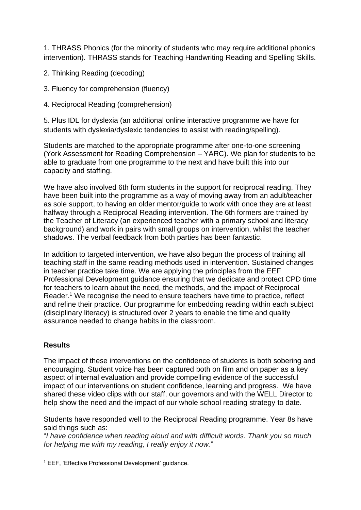1. THRASS Phonics (for the minority of students who may require additional phonics intervention). THRASS stands for Teaching Handwriting Reading and Spelling Skills.

- 2. Thinking Reading (decoding)
- 3. Fluency for comprehension (fluency)
- 4. Reciprocal Reading (comprehension)

5. Plus IDL for dyslexia (an additional online interactive programme we have for students with dyslexia/dyslexic tendencies to assist with reading/spelling).

Students are matched to the appropriate programme after one-to-one screening (York Assessment for Reading Comprehension – YARC). We plan for students to be able to graduate from one programme to the next and have built this into our capacity and staffing.

We have also involved 6th form students in the support for reciprocal reading. They have been built into the programme as a way of moving away from an adult/teacher as sole support, to having an older mentor/guide to work with once they are at least halfway through a Reciprocal Reading intervention. The 6th formers are trained by the Teacher of Literacy (an experienced teacher with a primary school and literacy background) and work in pairs with small groups on intervention, whilst the teacher shadows. The verbal feedback from both parties has been fantastic.

In addition to targeted intervention, we have also begun the process of training all teaching staff in the same reading methods used in intervention. Sustained changes in teacher practice take time. We are applying the principles from the EEF Professional Development guidance ensuring that we dedicate and protect CPD time for teachers to learn about the need, the methods, and the impact of Reciprocal Reader.<sup>1</sup> We recognise the need to ensure teachers have time to practice, reflect and refine their practice. Our programme for embedding reading within each subject (disciplinary literacy) is structured over 2 years to enable the time and quality assurance needed to change habits in the classroom.

## **Results**

The impact of these interventions on the confidence of students is both sobering and encouraging. Student voice has been captured both on film and on paper as a key aspect of internal evaluation and provide compelling evidence of the successful impact of our interventions on student confidence, learning and progress. We have shared these video clips with our staff, our governors and with the WELL Director to help show the need and the impact of our whole school reading strategy to date.

Students have responded well to the Reciprocal Reading programme. Year 8s have said things such as:

"*I have confidence when reading aloud and with difficult words. Thank you so much for helping me with my reading, I really enjoy it now.*"

<sup>1</sup> EEF, 'Effective Professional Development' guidance.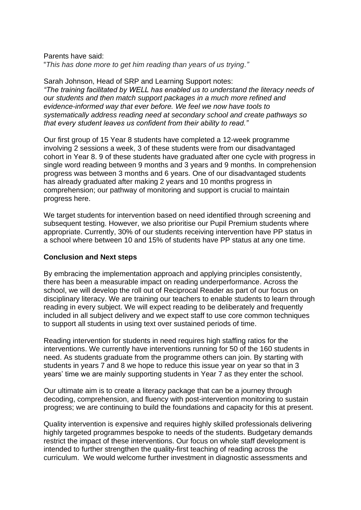#### Parents have said:

"*This has done more to get him reading than years of us trying."*

Sarah Johnson, Head of SRP and Learning Support notes: *"The training facilitated by WELL has enabled us to understand the literacy needs of our students and then match support packages in a much more refined and evidence-informed way that ever before. We feel we now have tools to systematically address reading need at secondary school and create pathways so that every student leaves us confident from their ability to read."*

Our first group of 15 Year 8 students have completed a 12-week programme involving 2 sessions a week, 3 of these students were from our disadvantaged cohort in Year 8. 9 of these students have graduated after one cycle with progress in single word reading between 9 months and 3 years and 9 months. In comprehension progress was between 3 months and 6 years. One of our disadvantaged students has already graduated after making 2 years and 10 months progress in comprehension; our pathway of monitoring and support is crucial to maintain progress here.

We target students for intervention based on need identified through screening and subsequent testing. However, we also prioritise our Pupil Premium students where appropriate. Currently, 30% of our students receiving intervention have PP status in a school where between 10 and 15% of students have PP status at any one time.

#### **Conclusion and Next steps**

By embracing the implementation approach and applying principles consistently, there has been a measurable impact on reading underperformance. Across the school, we will develop the roll out of Reciprocal Reader as part of our focus on disciplinary literacy. We are training our teachers to enable students to learn through reading in every subject. We will expect reading to be deliberately and frequently included in all subject delivery and we expect staff to use core common techniques to support all students in using text over sustained periods of time.

Reading intervention for students in need requires high staffing ratios for the interventions. We currently have interventions running for 50 of the 160 students in need. As students graduate from the programme others can join. By starting with students in years 7 and 8 we hope to reduce this issue year on year so that in 3 years' time we are mainly supporting students in Year 7 as they enter the school.

Our ultimate aim is to create a literacy package that can be a journey through decoding, comprehension, and fluency with post-intervention monitoring to sustain progress; we are continuing to build the foundations and capacity for this at present.

Quality intervention is expensive and requires highly skilled professionals delivering highly targeted programmes bespoke to needs of the students. Budgetary demands restrict the impact of these interventions. Our focus on whole staff development is intended to further strengthen the quality-first teaching of reading across the curriculum. We would welcome further investment in diagnostic assessments and